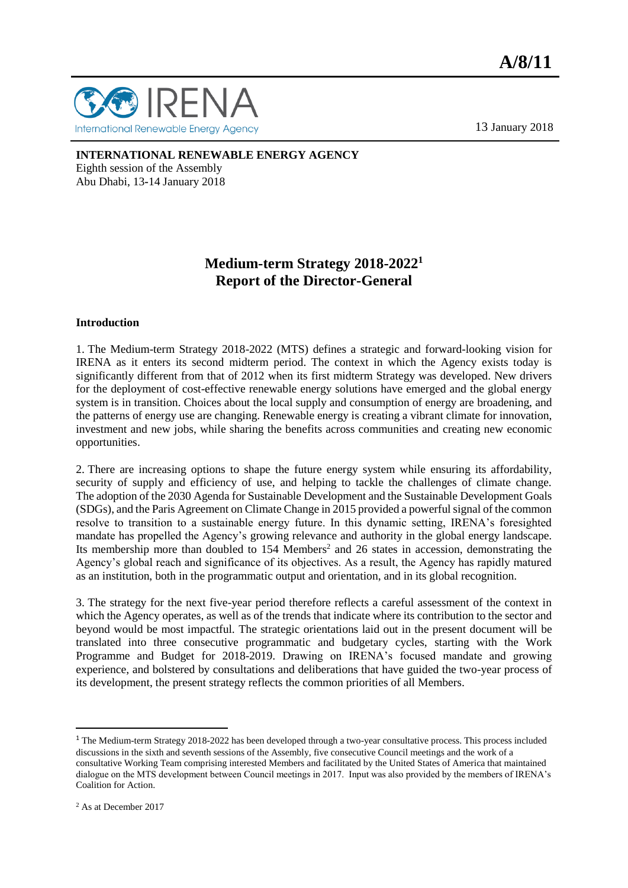

13 January 2018

#### **INTERNATIONAL RENEWABLE ENERGY AGENCY**

Eighth session of the Assembly Abu Dhabi, 13**-**14 January 2018

# **Medium-term Strategy 2018-2022<sup>1</sup> Report of the Director-General**

#### **Introduction**

1. The Medium-term Strategy 2018-2022 (MTS) defines a strategic and forward-looking vision for IRENA as it enters its second midterm period. The context in which the Agency exists today is significantly different from that of 2012 when its first midterm Strategy was developed. New drivers for the deployment of cost-effective renewable energy solutions have emerged and the global energy system is in transition. Choices about the local supply and consumption of energy are broadening, and the patterns of energy use are changing. Renewable energy is creating a vibrant climate for innovation, investment and new jobs, while sharing the benefits across communities and creating new economic opportunities.

2. There are increasing options to shape the future energy system while ensuring its affordability, security of supply and efficiency of use, and helping to tackle the challenges of climate change. The adoption of the 2030 Agenda for Sustainable Development and the Sustainable Development Goals (SDGs), and the Paris Agreement on Climate Change in 2015 provided a powerful signal of the common resolve to transition to a sustainable energy future. In this dynamic setting, IRENA's foresighted mandate has propelled the Agency's growing relevance and authority in the global energy landscape. Its membership more than doubled to 154 Members<sup>2</sup> and 26 states in accession, demonstrating the Agency's global reach and significance of its objectives. As a result, the Agency has rapidly matured as an institution, both in the programmatic output and orientation, and in its global recognition.

3. The strategy for the next five-year period therefore reflects a careful assessment of the context in which the Agency operates, as well as of the trends that indicate where its contribution to the sector and beyond would be most impactful. The strategic orientations laid out in the present document will be translated into three consecutive programmatic and budgetary cycles, starting with the Work Programme and Budget for 2018-2019. Drawing on IRENA's focused mandate and growing experience, and bolstered by consultations and deliberations that have guided the two-year process of its development, the present strategy reflects the common priorities of all Members.

 $\overline{a}$ 

<sup>&</sup>lt;sup>1</sup> The Medium-term Strategy 2018-2022 has been developed through a two-year consultative process. This process included discussions in the sixth and seventh sessions of the Assembly, five consecutive Council meetings and the work of a consultative Working Team comprising interested Members and facilitated by the United States of America that maintained dialogue on the MTS development between Council meetings in 2017. Input was also provided by the members of IRENA's Coalition for Action.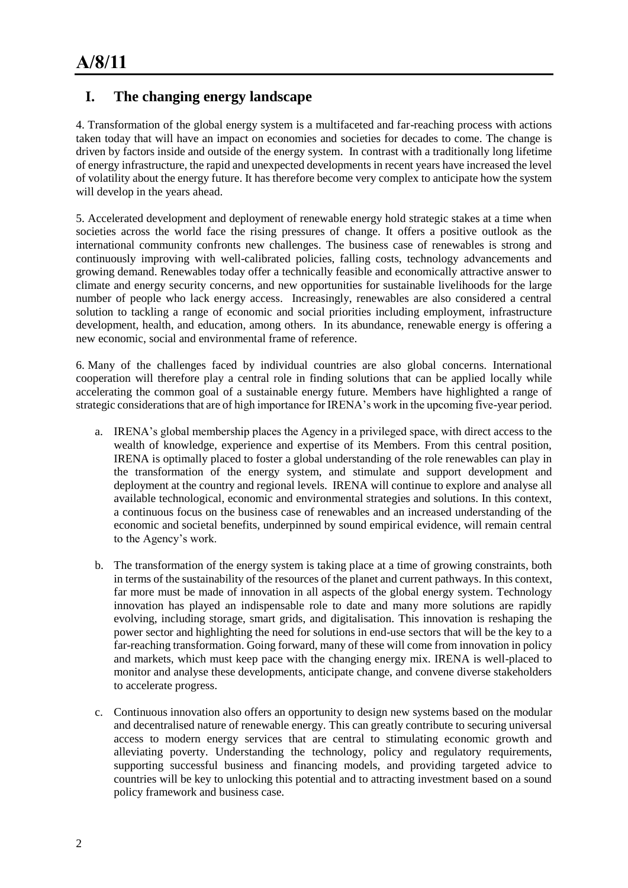# **I. The changing energy landscape**

4. Transformation of the global energy system is a multifaceted and far-reaching process with actions taken today that will have an impact on economies and societies for decades to come. The change is driven by factors inside and outside of the energy system. In contrast with a traditionally long lifetime of energy infrastructure, the rapid and unexpected developments in recent years have increased the level of volatility about the energy future. It has therefore become very complex to anticipate how the system will develop in the years ahead.

5. Accelerated development and deployment of renewable energy hold strategic stakes at a time when societies across the world face the rising pressures of change. It offers a positive outlook as the international community confronts new challenges. The business case of renewables is strong and continuously improving with well-calibrated policies, falling costs, technology advancements and growing demand. Renewables today offer a technically feasible and economically attractive answer to climate and energy security concerns, and new opportunities for sustainable livelihoods for the large number of people who lack energy access. Increasingly, renewables are also considered a central solution to tackling a range of economic and social priorities including employment, infrastructure development, health, and education, among others. In its abundance, renewable energy is offering a new economic, social and environmental frame of reference.

6. Many of the challenges faced by individual countries are also global concerns. International cooperation will therefore play a central role in finding solutions that can be applied locally while accelerating the common goal of a sustainable energy future. Members have highlighted a range of strategic considerations that are of high importance for IRENA's work in the upcoming five-year period.

- a. IRENA's global membership places the Agency in a privileged space, with direct access to the wealth of knowledge, experience and expertise of its Members. From this central position, IRENA is optimally placed to foster a global understanding of the role renewables can play in the transformation of the energy system, and stimulate and support development and deployment at the country and regional levels. IRENA will continue to explore and analyse all available technological, economic and environmental strategies and solutions. In this context, a continuous focus on the business case of renewables and an increased understanding of the economic and societal benefits, underpinned by sound empirical evidence, will remain central to the Agency's work.
- b. The transformation of the energy system is taking place at a time of growing constraints, both in terms of the sustainability of the resources of the planet and current pathways. In this context, far more must be made of innovation in all aspects of the global energy system. Technology innovation has played an indispensable role to date and many more solutions are rapidly evolving, including storage, smart grids, and digitalisation. This innovation is reshaping the power sector and highlighting the need for solutions in end-use sectors that will be the key to a far-reaching transformation. Going forward, many of these will come from innovation in policy and markets, which must keep pace with the changing energy mix. IRENA is well-placed to monitor and analyse these developments, anticipate change, and convene diverse stakeholders to accelerate progress.
- c. Continuous innovation also offers an opportunity to design new systems based on the modular and decentralised nature of renewable energy. This can greatly contribute to securing universal access to modern energy services that are central to stimulating economic growth and alleviating poverty. Understanding the technology, policy and regulatory requirements, supporting successful business and financing models, and providing targeted advice to countries will be key to unlocking this potential and to attracting investment based on a sound policy framework and business case.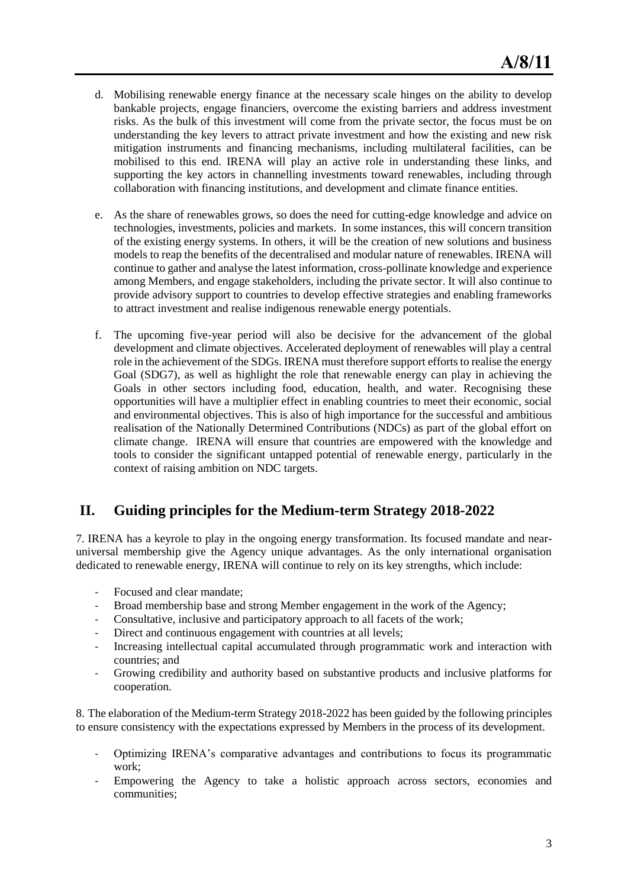- d. Mobilising renewable energy finance at the necessary scale hinges on the ability to develop bankable projects, engage financiers, overcome the existing barriers and address investment risks. As the bulk of this investment will come from the private sector, the focus must be on understanding the key levers to attract private investment and how the existing and new risk mitigation instruments and financing mechanisms, including multilateral facilities, can be mobilised to this end. IRENA will play an active role in understanding these links, and supporting the key actors in channelling investments toward renewables, including through collaboration with financing institutions, and development and climate finance entities.
- e. As the share of renewables grows, so does the need for cutting-edge knowledge and advice on technologies, investments, policies and markets. In some instances, this will concern transition of the existing energy systems. In others, it will be the creation of new solutions and business models to reap the benefits of the decentralised and modular nature of renewables. IRENA will continue to gather and analyse the latest information, cross-pollinate knowledge and experience among Members, and engage stakeholders, including the private sector. It will also continue to provide advisory support to countries to develop effective strategies and enabling frameworks to attract investment and realise indigenous renewable energy potentials.
- f. The upcoming five-year period will also be decisive for the advancement of the global development and climate objectives. Accelerated deployment of renewables will play a central role in the achievement of the SDGs. IRENA must therefore support efforts to realise the energy Goal (SDG7), as well as highlight the role that renewable energy can play in achieving the Goals in other sectors including food, education, health, and water. Recognising these opportunities will have a multiplier effect in enabling countries to meet their economic, social and environmental objectives. This is also of high importance for the successful and ambitious realisation of the Nationally Determined Contributions (NDCs) as part of the global effort on climate change. IRENA will ensure that countries are empowered with the knowledge and tools to consider the significant untapped potential of renewable energy, particularly in the context of raising ambition on NDC targets.

## **II. Guiding principles for the Medium-term Strategy 2018-2022**

7. IRENA has a keyrole to play in the ongoing energy transformation. Its focused mandate and nearuniversal membership give the Agency unique advantages. As the only international organisation dedicated to renewable energy, IRENA will continue to rely on its key strengths, which include:

- Focused and clear mandate:
- Broad membership base and strong Member engagement in the work of the Agency;
- Consultative, inclusive and participatory approach to all facets of the work;
- Direct and continuous engagement with countries at all levels;
- Increasing intellectual capital accumulated through programmatic work and interaction with countries; and
- Growing credibility and authority based on substantive products and inclusive platforms for cooperation.

8. The elaboration of the Medium-term Strategy 2018-2022 has been guided by the following principles to ensure consistency with the expectations expressed by Members in the process of its development.

- Optimizing IRENA's comparative advantages and contributions to focus its programmatic work;
- Empowering the Agency to take a holistic approach across sectors, economies and communities;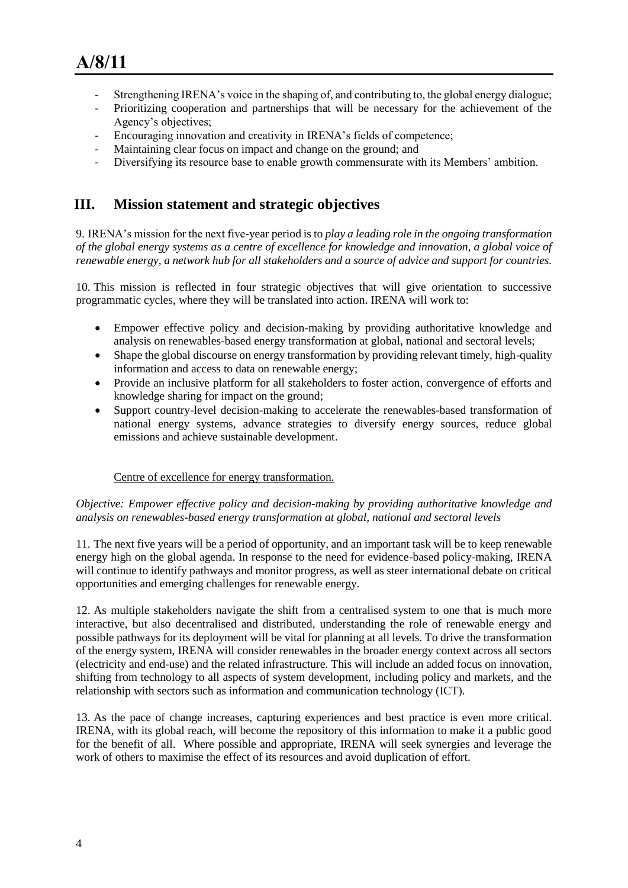- Strengthening IRENA's voice in the shaping of, and contributing to, the global energy dialogue;
- Prioritizing cooperation and partnerships that will be necessary for the achievement of the Agency's objectives;
- Encouraging innovation and creativity in IRENA's fields of competence;
- Maintaining clear focus on impact and change on the ground; and
- Diversifying its resource base to enable growth commensurate with its Members' ambition.

## **III. Mission statement and strategic objectives**

9. IRENA's mission for the next five-year period is to *play a leading role in the ongoing transformation of the global energy systems as a centre of excellence for knowledge and innovation, a global voice of renewable energy, a network hub for all stakeholders and a source of advice and support for countries.*

10. This mission is reflected in four strategic objectives that will give orientation to successive programmatic cycles, where they will be translated into action. IRENA will work to:

- Empower effective policy and decision-making by providing authoritative knowledge and analysis on renewables-based energy transformation at global, national and sectoral levels;
- Shape the global discourse on energy transformation by providing relevant timely, high-quality information and access to data on renewable energy;
- Provide an inclusive platform for all stakeholders to foster action, convergence of efforts and knowledge sharing for impact on the ground;
- Support country-level decision-making to accelerate the renewables-based transformation of national energy systems, advance strategies to diversify energy sources, reduce global emissions and achieve sustainable development.

### Centre of excellence for energy transformation.

*Objective: Empower effective policy and decision-making by providing authoritative knowledge and analysis on renewables-based energy transformation at global, national and sectoral levels*

11. The next five years will be a period of opportunity, and an important task will be to keep renewable energy high on the global agenda. In response to the need for evidence-based policy-making, IRENA will continue to identify pathways and monitor progress, as well as steer international debate on critical opportunities and emerging challenges for renewable energy.

12. As multiple stakeholders navigate the shift from a centralised system to one that is much more interactive, but also decentralised and distributed, understanding the role of renewable energy and possible pathways for its deployment will be vital for planning at all levels. To drive the transformation of the energy system, IRENA will consider renewables in the broader energy context across all sectors (electricity and end-use) and the related infrastructure. This will include an added focus on innovation, shifting from technology to all aspects of system development, including policy and markets, and the relationship with sectors such as information and communication technology (ICT).

13. As the pace of change increases, capturing experiences and best practice is even more critical. IRENA, with its global reach, will become the repository of this information to make it a public good for the benefit of all. Where possible and appropriate, IRENA will seek synergies and leverage the work of others to maximise the effect of its resources and avoid duplication of effort.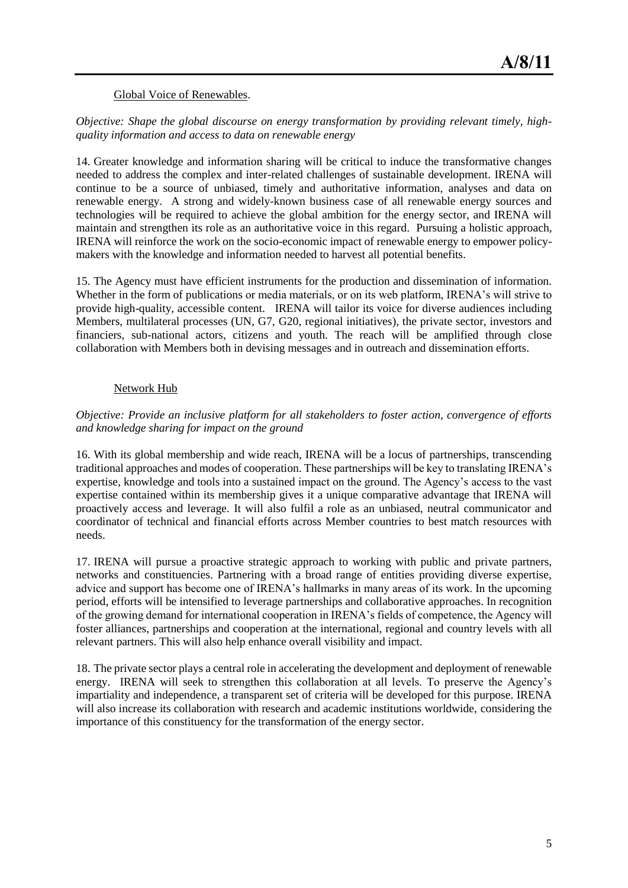#### Global Voice of Renewables.

### *Objective: Shape the global discourse on energy transformation by providing relevant timely, highquality information and access to data on renewable energy*

14. Greater knowledge and information sharing will be critical to induce the transformative changes needed to address the complex and inter-related challenges of sustainable development. IRENA will continue to be a source of unbiased, timely and authoritative information, analyses and data on renewable energy. A strong and widely-known business case of all renewable energy sources and technologies will be required to achieve the global ambition for the energy sector, and IRENA will maintain and strengthen its role as an authoritative voice in this regard. Pursuing a holistic approach, IRENA will reinforce the work on the socio-economic impact of renewable energy to empower policymakers with the knowledge and information needed to harvest all potential benefits.

15. The Agency must have efficient instruments for the production and dissemination of information. Whether in the form of publications or media materials, or on its web platform, IRENA's will strive to provide high-quality, accessible content. IRENA will tailor its voice for diverse audiences including Members, multilateral processes (UN, G7, G20, regional initiatives), the private sector, investors and financiers, sub-national actors, citizens and youth. The reach will be amplified through close collaboration with Members both in devising messages and in outreach and dissemination efforts.

### Network Hub

### *Objective: Provide an inclusive platform for all stakeholders to foster action, convergence of efforts and knowledge sharing for impact on the ground*

16. With its global membership and wide reach, IRENA will be a locus of partnerships, transcending traditional approaches and modes of cooperation. These partnerships will be key to translating IRENA's expertise, knowledge and tools into a sustained impact on the ground. The Agency's access to the vast expertise contained within its membership gives it a unique comparative advantage that IRENA will proactively access and leverage. It will also fulfil a role as an unbiased, neutral communicator and coordinator of technical and financial efforts across Member countries to best match resources with needs.

17. IRENA will pursue a proactive strategic approach to working with public and private partners, networks and constituencies. Partnering with a broad range of entities providing diverse expertise, advice and support has become one of IRENA's hallmarks in many areas of its work. In the upcoming period, efforts will be intensified to leverage partnerships and collaborative approaches. In recognition of the growing demand for international cooperation in IRENA's fields of competence, the Agency will foster alliances, partnerships and cooperation at the international, regional and country levels with all relevant partners. This will also help enhance overall visibility and impact.

18. The private sector plays a central role in accelerating the development and deployment of renewable energy. IRENA will seek to strengthen this collaboration at all levels. To preserve the Agency's impartiality and independence, a transparent set of criteria will be developed for this purpose. IRENA will also increase its collaboration with research and academic institutions worldwide, considering the importance of this constituency for the transformation of the energy sector.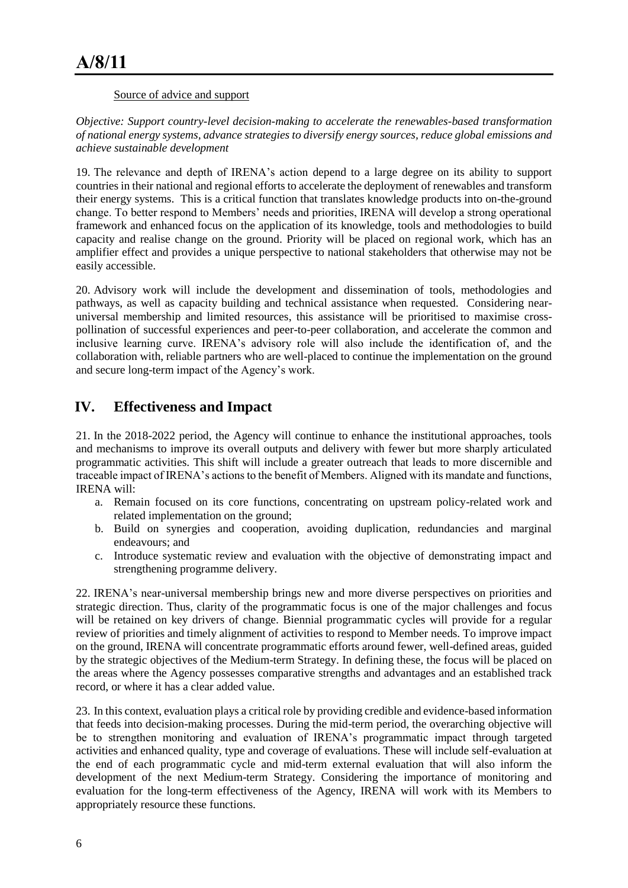#### Source of advice and support

*Objective: Support country-level decision-making to accelerate the renewables-based transformation of national energy systems, advance strategies to diversify energy sources, reduce global emissions and achieve sustainable development*

19. The relevance and depth of IRENA's action depend to a large degree on its ability to support countries in their national and regional efforts to accelerate the deployment of renewables and transform their energy systems. This is a critical function that translates knowledge products into on-the-ground change. To better respond to Members' needs and priorities, IRENA will develop a strong operational framework and enhanced focus on the application of its knowledge, tools and methodologies to build capacity and realise change on the ground. Priority will be placed on regional work, which has an amplifier effect and provides a unique perspective to national stakeholders that otherwise may not be easily accessible.

20. Advisory work will include the development and dissemination of tools, methodologies and pathways, as well as capacity building and technical assistance when requested. Considering nearuniversal membership and limited resources, this assistance will be prioritised to maximise crosspollination of successful experiences and peer-to-peer collaboration, and accelerate the common and inclusive learning curve. IRENA's advisory role will also include the identification of, and the collaboration with, reliable partners who are well-placed to continue the implementation on the ground and secure long-term impact of the Agency's work.

# **IV. Effectiveness and Impact**

21. In the 2018-2022 period, the Agency will continue to enhance the institutional approaches, tools and mechanisms to improve its overall outputs and delivery with fewer but more sharply articulated programmatic activities. This shift will include a greater outreach that leads to more discernible and traceable impact of IRENA's actions to the benefit of Members. Aligned with its mandate and functions, IRENA will:

- a. Remain focused on its core functions, concentrating on upstream policy-related work and related implementation on the ground;
- b. Build on synergies and cooperation, avoiding duplication, redundancies and marginal endeavours; and
- c. Introduce systematic review and evaluation with the objective of demonstrating impact and strengthening programme delivery.

22. IRENA's near-universal membership brings new and more diverse perspectives on priorities and strategic direction. Thus, clarity of the programmatic focus is one of the major challenges and focus will be retained on key drivers of change. Biennial programmatic cycles will provide for a regular review of priorities and timely alignment of activities to respond to Member needs. To improve impact on the ground, IRENA will concentrate programmatic efforts around fewer, well-defined areas, guided by the strategic objectives of the Medium-term Strategy. In defining these, the focus will be placed on the areas where the Agency possesses comparative strengths and advantages and an established track record, or where it has a clear added value.

23. In this context, evaluation plays a critical role by providing credible and evidence-based information that feeds into decision-making processes. During the mid-term period, the overarching objective will be to strengthen monitoring and evaluation of IRENA's programmatic impact through targeted activities and enhanced quality, type and coverage of evaluations. These will include self-evaluation at the end of each programmatic cycle and mid-term external evaluation that will also inform the development of the next Medium-term Strategy. Considering the importance of monitoring and evaluation for the long-term effectiveness of the Agency, IRENA will work with its Members to appropriately resource these functions.